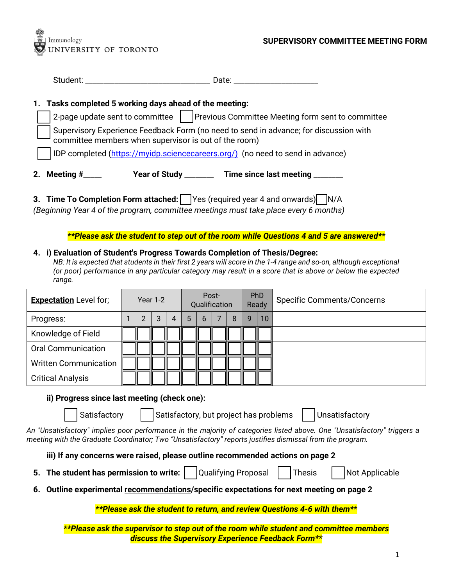

|                                                                                | 1. Tasks completed 5 working days ahead of the meeting:                                                                                     |                                                                                       |  |  |  |  |  |  |  |  |  |
|--------------------------------------------------------------------------------|---------------------------------------------------------------------------------------------------------------------------------------------|---------------------------------------------------------------------------------------|--|--|--|--|--|--|--|--|--|
|                                                                                |                                                                                                                                             | 2-page update sent to committee     Previous Committee Meeting form sent to committee |  |  |  |  |  |  |  |  |  |
|                                                                                | Supervisory Experience Feedback Form (no need to send in advance; for discussion with committee members when supervisor is out of the room) |                                                                                       |  |  |  |  |  |  |  |  |  |
| IDP completed (https://myidp.sciencecareers.org/) (no need to send in advance) |                                                                                                                                             |                                                                                       |  |  |  |  |  |  |  |  |  |
|                                                                                | 2. Meeting $#$ <sub>_____</sub><br>Year of Study _______                                                                                    | Time since last meeting ___                                                           |  |  |  |  |  |  |  |  |  |

**3. Time To Completion Form attached:** Yes (required year 4 and onwards) N/A *(Beginning Year 4 of the program, committee meetings must take place every 6 months)*

*\*\*Please ask the student to step out of the room while Questions 4 and 5 are answered\*\**

## **4. i) Evaluation of Student's Progress Towards Completion of Thesis/Degree:**

*NB: It is expected that students in their first 2 years will score in the 1-4 range and so-on, although exceptional (or poor) performance in any particular category may result in a score that is above or below the expected range.*

| <b>Expectation</b> Level for; |  | Year $1-2$ |   |   | Post-<br>Qualification |   |  | <b>PhD</b><br>Ready |   | <b>Specific Comments/Concerns</b> |  |
|-------------------------------|--|------------|---|---|------------------------|---|--|---------------------|---|-----------------------------------|--|
| Progress:                     |  | 2          | 3 | 4 | 5                      | 6 |  | 8                   | q | 10 <sup>°</sup>                   |  |
| Knowledge of Field            |  |            |   |   |                        |   |  |                     |   |                                   |  |
| <b>Oral Communication</b>     |  |            |   |   |                        |   |  |                     |   |                                   |  |
| <b>Written Communication</b>  |  |            |   |   |                        |   |  |                     |   |                                   |  |
| <b>Critical Analysis</b>      |  |            |   |   |                        |   |  |                     |   |                                   |  |

**ii) Progress since last meeting (check one):**

Satisfactory | Satisfactory, but project has problems | Unsatisfactory

*An "Unsatisfactory" implies poor performance in the majority of categories listed above. One "Unsatisfactory" triggers a meeting with the Graduate Coordinator; Two "Unsatisfactory" reports justifies dismissal from the program.*

**iii) If any concerns were raised, please outline recommended actions on page 2**

- **5. The student has permission to write:** | Qualifying Proposal | | Thesis | | Not Applicable
- 

**6. Outline experimental recommendations/specific expectations for next meeting on page 2**

*\*\*Please ask the student to return, and review Questions 4-6 with them\*\**

*\*\*Please ask the supervisor to step out of the room while student and committee members discuss the Supervisory Experience Feedback Form\*\**